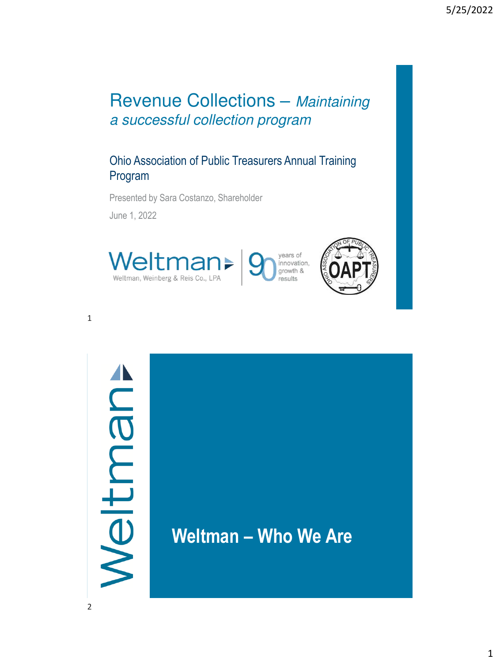### Revenue Collections – Maintaining a successful collection program

### Ohio Association of Public Treasurers Annual Training Program

Presented by Sara Costanzo, Shareholder June 1, 2022





# Meltman

**Weltman – Who We Are**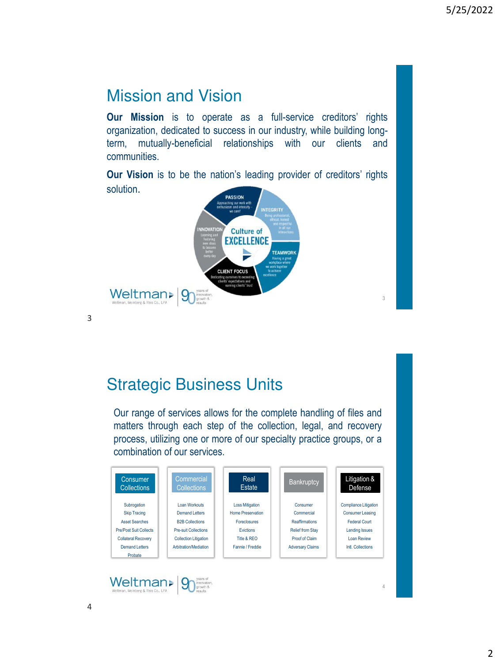### Mission and Vision

**Our Mission** is to operate as a full-service creditors' rights organization, dedicated to success in our industry, while building longterm, mutually-beneficial relationships with our clients and communities.

**Our Vision** is to be the nation's leading provider of creditors' rights solution.



3

### Strategic Business Units

Our range of services allows for the complete handling of files and matters through each step of the collection, legal, and recovery process, utilizing one or more of our specialty practice groups, or a combination of our services.

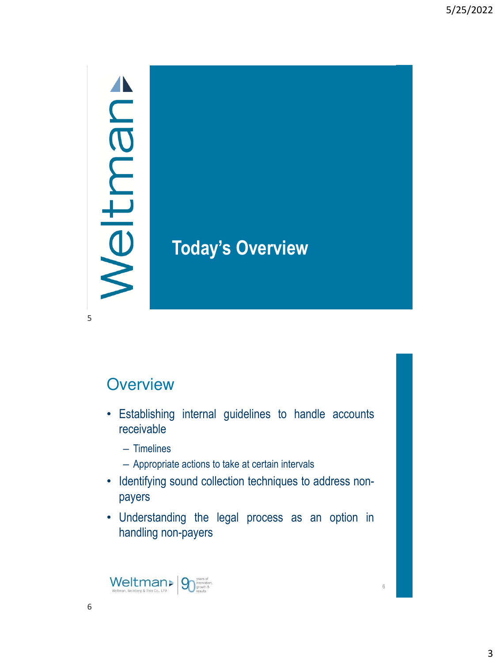## Meltman

5

## **Today's Overview**

### **Overview**

- Establishing internal guidelines to handle accounts receivable
	- Timelines
	- Appropriate actions to take at certain intervals
- Identifying sound collection techniques to address nonpayers
- Understanding the legal process as an option in handling non-payers

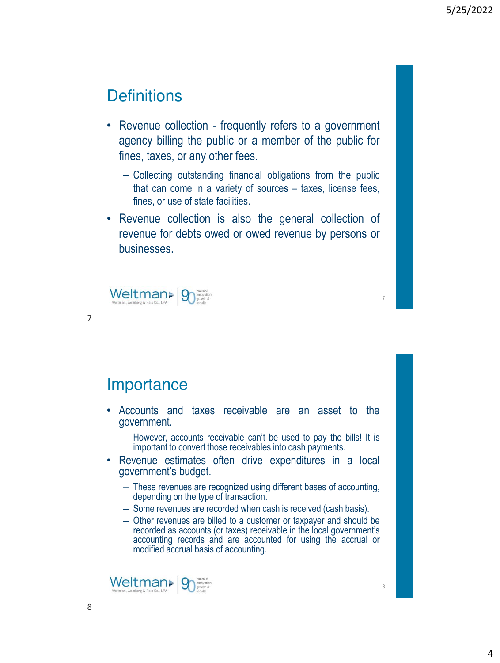7

8

### **Definitions**

- Revenue collection frequently refers to a government agency billing the public or a member of the public for fines, taxes, or any other fees.
	- Collecting outstanding financial obligations from the public that can come in a variety of sources – taxes, license fees, fines, or use of state facilities.
- Revenue collection is also the general collection of revenue for debts owed or owed revenue by persons or businesses.



7

### **Importance**

- Accounts and taxes receivable are an asset to the government.
	- However, accounts receivable can't be used to pay the bills! It is important to convert those receivables into cash payments.
- Revenue estimates often drive expenditures in a local government's budget.
	- These revenues are recognized using different bases of accounting, depending on the type of transaction.
	- Some revenues are recorded when cash is received (cash basis).
	- Other revenues are billed to a customer or taxpayer and should be recorded as accounts (or taxes) receivable in the local government's accounting records and are accounted for using the accrual or modified accrual basis of accounting.

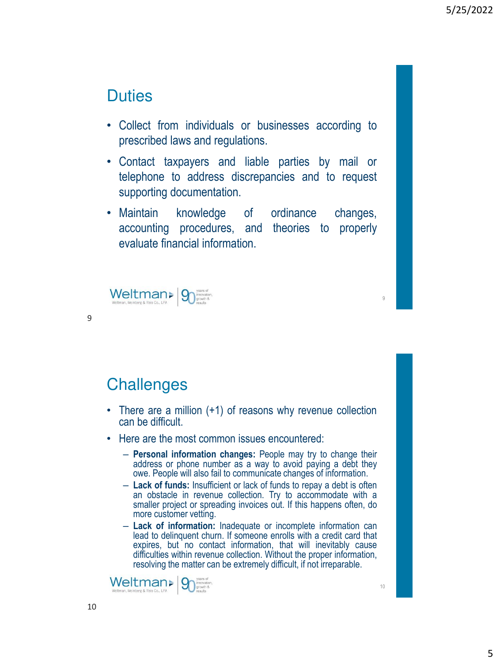### **Duties**

- Collect from individuals or businesses according to prescribed laws and regulations.
- Contact taxpayers and liable parties by mail or telephone to address discrepancies and to request supporting documentation.
- Maintain knowledge of ordinance changes, accounting procedures, and theories to properly evaluate financial information.



9

### **Challenges**

- There are a million (+1) of reasons why revenue collection can be difficult.
- Here are the most common issues encountered:
	- **Personal information changes:** People may try to change their address or phone number as a way to avoid paying a debt they owe. People will also fail to communicate changes of information.
	- **Lack of funds:** Insufficient or lack of funds to repay a debt is often an obstacle in revenue collection. Try to accommodate with a smaller project or spreading invoices out. If this happens often, do more customer vetting.
	- **Lack of information:** Inadequate or incomplete information can lead to delinquent churn. If someone enrolls with a credit card that expires, but no contact information, that will inevitably cause difficulties within revenue collection. Without the proper information, resolving the matter can be extremely difficult, if not irreparable.

Weltman>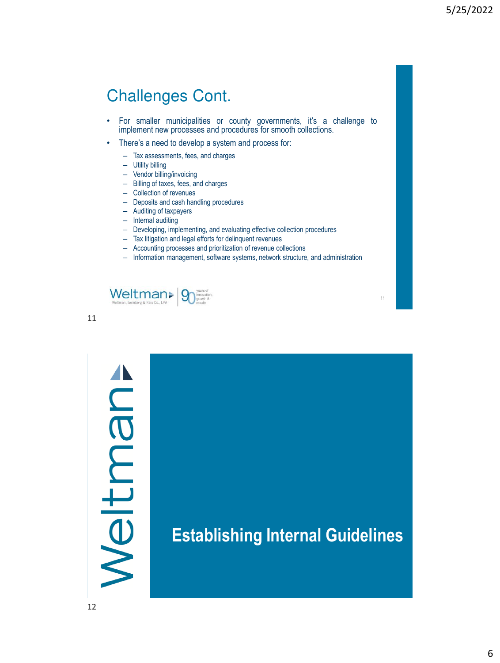### Challenges Cont.

- For smaller municipalities or county governments, it's a challenge to implement new processes and procedures for smooth collections.
- There's a need to develop a system and process for:
	- Tax assessments, fees, and charges
	- Utility billing
	- Vendor billing/invoicing
	- Billing of taxes, fees, and charges
	- Collection of revenues
	- Deposits and cash handling procedures
	- Auditing of taxpayers
	- Internal auditing
	- Developing, implementing, and evaluating effective collection procedures
	- Tax litigation and legal efforts for delinquent revenues
	- Accounting processes and prioritization of revenue collections
	- Information management, software systems, network structure, and administration



11

# Meltman

**Establishing Internal Guidelines**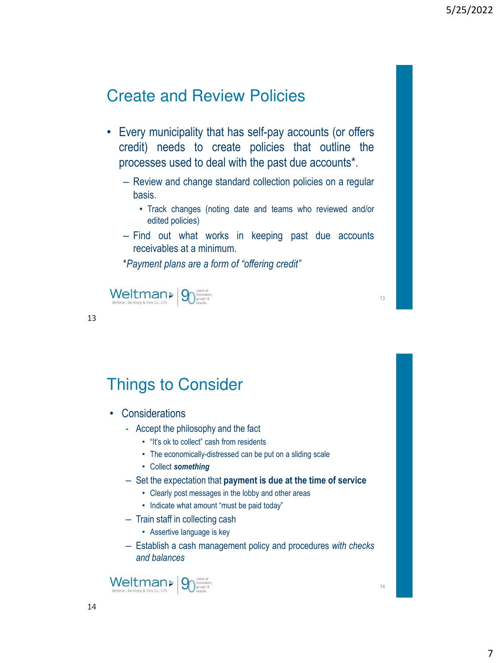### Create and Review Policies

- Every municipality that has self-pay accounts (or offers credit) needs to create policies that outline the processes used to deal with the past due accounts\*.
	- Review and change standard collection policies on a regular basis.
		- Track changes (noting date and teams who reviewed and/or edited policies)
	- Find out what works in keeping past due accounts receivables at a minimum.

\**Payment plans are a form of "offering credit"*



13

### Things to Consider

- Considerations
	- Accept the philosophy and the fact
		- "It's ok to collect" cash from residents
		- The economically-distressed can be put on a sliding scale
		- Collect *something*
	- Set the expectation that **payment is due at the time of service**
		- Clearly post messages in the lobby and other areas
		- Indicate what amount "must be paid today"
	- Train staff in collecting cash
		- Assertive language is key
	- Establish a cash management policy and procedures *with checks and balances*

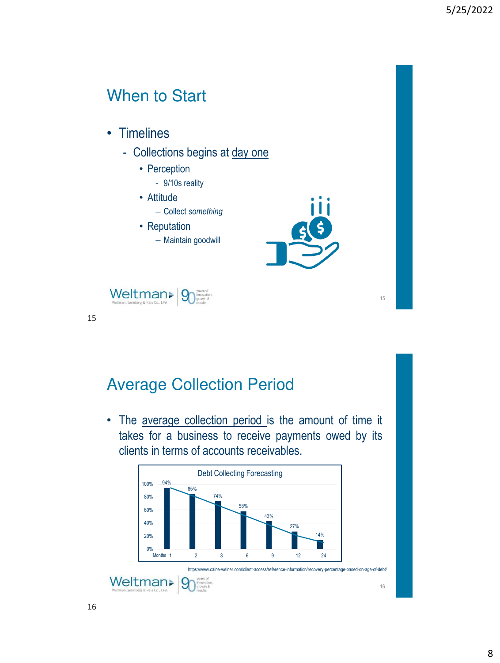### When to Start

- Timelines
	- Collections begins at day one
		- Perception
			- 9/10s reality
		- Attitude
			- Collect *something*
		- Reputation – Maintain goodwill



15



15

### Average Collection Period

• The average collection period is the amount of time it takes for a business to receive payments owed by its clients in terms of accounts receivables.

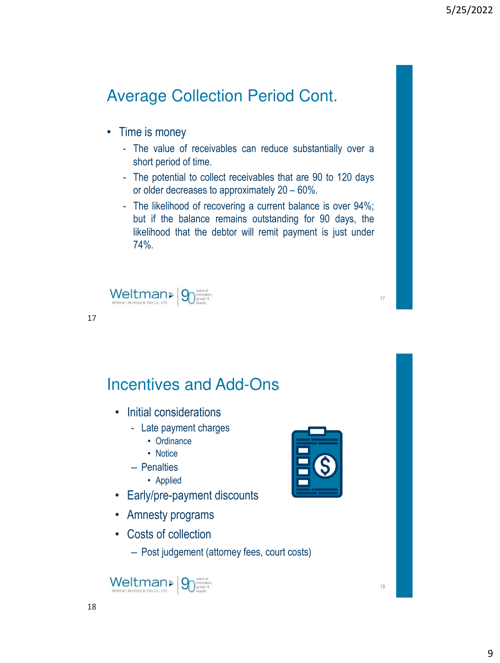### Average Collection Period Cont.

- Time is money
	- The value of receivables can reduce substantially over a short period of time.
	- The potential to collect receivables that are 90 to 120 days or older decreases to approximately 20 – 60%.
	- The likelihood of recovering a current balance is over 94%; but if the balance remains outstanding for 90 days, the likelihood that the debtor will remit payment is just under 74%.



17

### Incentives and Add-Ons

- Initial considerations
	- Late payment charges
		- Ordinance
		- Notice
	- Penalties
		- Applied
- Early/pre-payment discounts
- Amnesty programs
- Costs of collection
	- Post judgement (attorney fees, court costs)



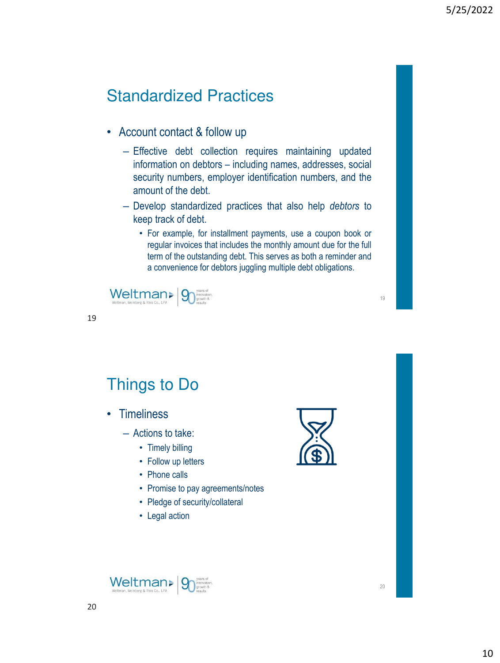### Standardized Practices

- Account contact & follow up
	- Effective debt collection requires maintaining updated information on debtors – including names, addresses, social security numbers, employer identification numbers, and the amount of the debt.
	- Develop standardized practices that also help *debtors* to keep track of debt.
		- For example, for installment payments, use a coupon book or regular invoices that includes the monthly amount due for the full term of the outstanding debt. This serves as both a reminder and a convenience for debtors juggling multiple debt obligations.



19

Things to Do

- Timeliness
	- Actions to take:
		- Timely billing
		- Follow up letters
		- Phone calls
		- Promise to pay agreements/notes
		- Pledge of security/collateral
		- Legal action



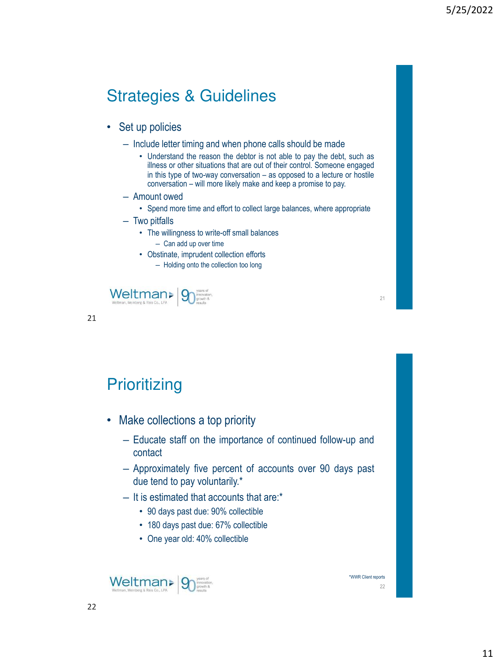### Strategies & Guidelines

- Set up policies
	- Include letter timing and when phone calls should be made
		- Understand the reason the debtor is not able to pay the debt, such as illness or other situations that are out of their control. Someone engaged in this type of two-way conversation – as opposed to a lecture or hostile conversation – will more likely make and keep a promise to pay.
	- Amount owed
		- Spend more time and effort to collect large balances, where appropriate
	- Two pitfalls
		- The willingness to write-off small balances
			- Can add up over time
		- Obstinate, imprudent collection efforts – Holding onto the collection too long



| ۰            |     |
|--------------|-----|
| . .          | I   |
|              | ×.  |
| i<br>٧<br>., | . . |

### **Prioritizing**

- Make collections a top priority
	- Educate staff on the importance of continued follow-up and contact
	- Approximately five percent of accounts over 90 days past due tend to pay voluntarily.\*
	- It is estimated that accounts that are:\*
		- 90 days past due: 90% collectible
		- 180 days past due: 67% collectible
		- One year old: 40% collectible



\*WWR Client reports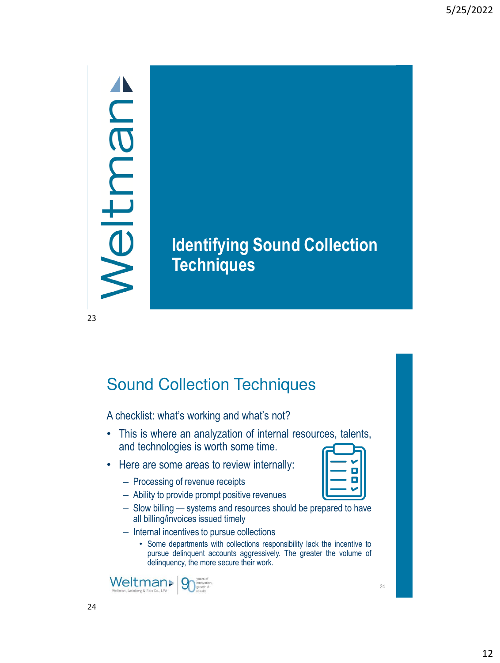## Meltman

## **Identifying Sound Collection Techniques**

23

### Sound Collection Techniques

A checklist: what's working and what's not?

- This is where an analyzation of internal resources, talents, and technologies is worth some time.
- Here are some areas to review internally:
	- Processing of revenue receipts
	- Ability to provide prompt positive revenues
	- Slow billing systems and resources should be prepared to have all billing/invoices issued timely
	- Internal incentives to pursue collections
		- Some departments with collections responsibility lack the incentive to pursue delinquent accounts aggressively. The greater the volume of delinquency, the more secure their work.



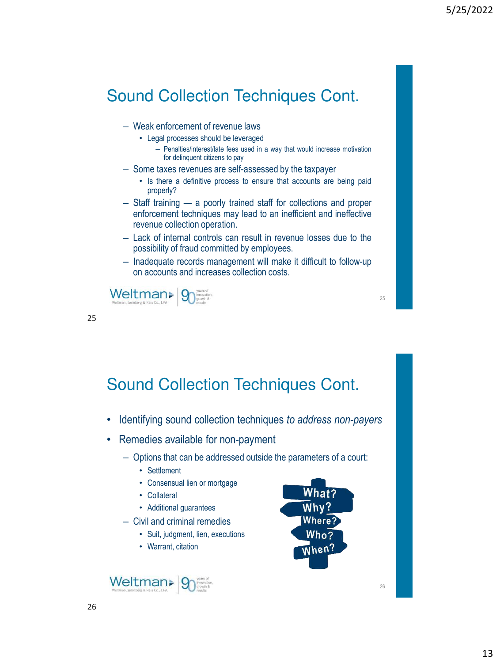### Sound Collection Techniques Cont.

- Weak enforcement of revenue laws
	- Legal processes should be leveraged
		- Penalties/interest/late fees used in a way that would increase motivation for delinquent citizens to pay
- Some taxes revenues are self-assessed by the taxpayer
	- Is there a definitive process to ensure that accounts are being paid properly?
- Staff training a poorly trained staff for collections and proper enforcement techniques may lead to an inefficient and ineffective revenue collection operation.
- Lack of internal controls can result in revenue losses due to the possibility of fraud committed by employees.
- Inadequate records management will make it difficult to follow-up on accounts and increases collection costs.



25

Sound Collection Techniques Cont.

- Identifying sound collection techniques *to address non-payers*
- Remedies available for non-payment
	- Options that can be addressed outside the parameters of a court:
		- Settlement
		- Consensual lien or mortgage
		- Collateral
		- Additional guarantees
	- Civil and criminal remedies
		- Suit, judgment, lien, executions
		- Warrant, citation

Weltman>



25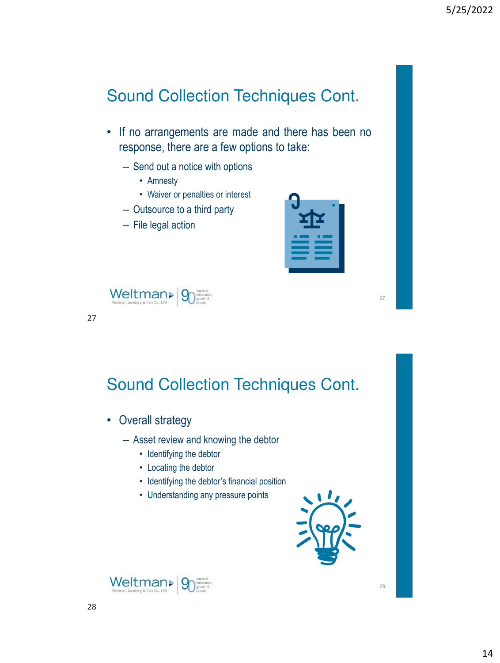### Sound Collection Techniques Cont.

- If no arrangements are made and there has been no response, there are a few options to take:
	- Send out a notice with options
		- Amnesty
		- Waiver or penalties or interest
	- Outsource to a third party
	- File legal action

|  | _____ |  |
|--|-------|--|



27

Sound Collection Techniques Cont.

- Overall strategy
	- Asset review and knowing the debtor
		- Identifying the debtor
		- Locating the debtor
		- Identifying the debtor's financial position
		- Understanding any pressure points



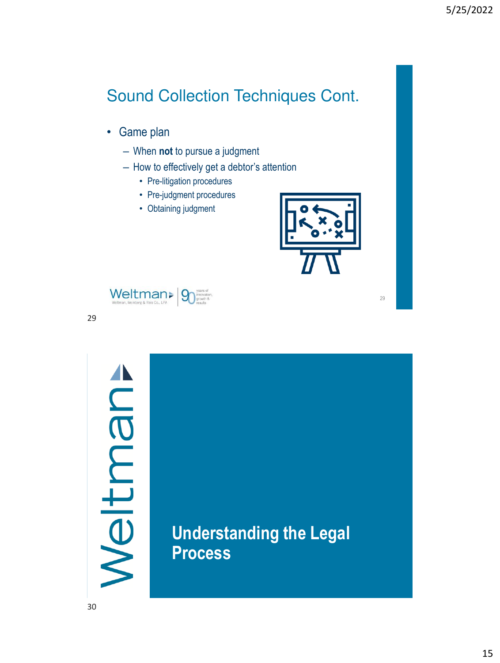### Sound Collection Techniques Cont.

- Game plan
	- When **not** to pursue a judgment
	- How to effectively get a debtor's attention
		- Pre-litigation procedures
		- Pre-judgment procedures
		- Obtaining judgment



29



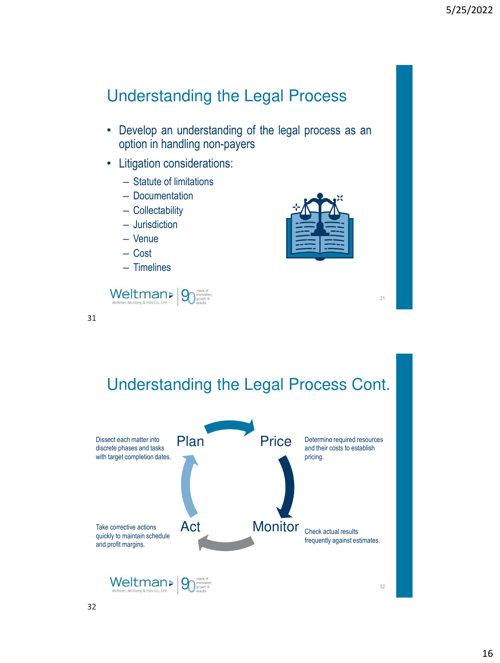### Understanding the Legal Process

- Develop an understanding of the legal process as an option in handling non-payers
- Litigation considerations:
	- Statute of limitations
	- Documentation
	- Collectability
	- Jurisdiction
	- Venue
	- Cost
	- Timelines



31



31

Understanding the Legal Process Cont.

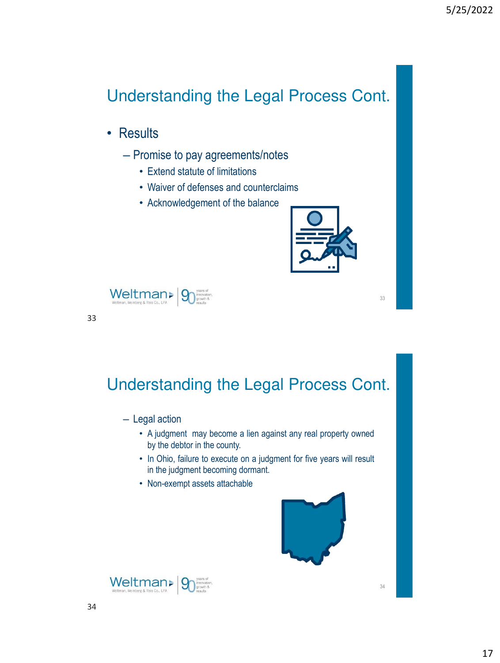## Understanding the Legal Process Cont.

- Results
	- Promise to pay agreements/notes
		- Extend statute of limitations
		- Waiver of defenses and counterclaims
		- Acknowledgement of the balance





33

Understanding the Legal Process Cont.

– Legal action

- A judgment may become a lien against any real property owned by the debtor in the county.
- In Ohio, failure to execute on a judgment for five years will result in the judgment becoming dormant.
- Non-exempt assets attachable



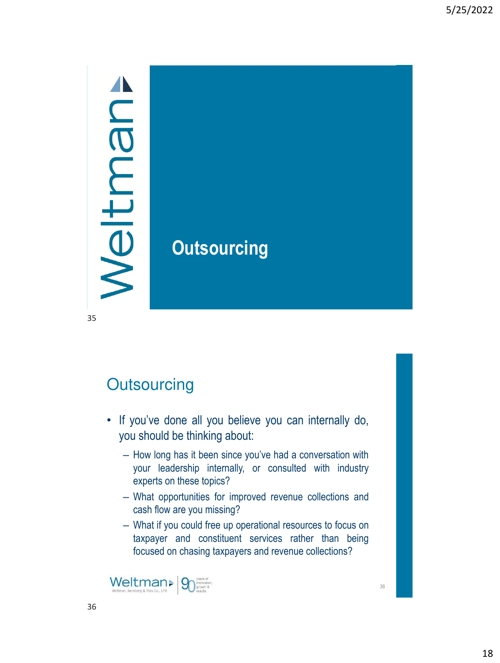## Meltman

## **Outsourcing**

35

## **Outsourcing**

- If you've done all you believe you can internally do, you should be thinking about:
	- How long has it been since you've had a conversation with your leadership internally, or consulted with industry experts on these topics?
	- What opportunities for improved revenue collections and cash flow are you missing?
	- What if you could free up operational resources to focus on taxpayer and constituent services rather than being focused on chasing taxpayers and revenue collections?

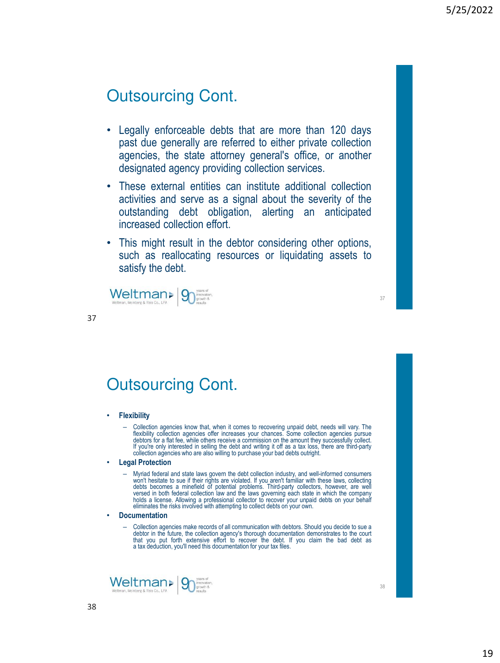- Legally enforceable debts that are more than 120 days past due generally are referred to either private collection agencies, the state attorney general's office, or another designated agency providing collection services.
- These external entities can institute additional collection activities and serve as a signal about the severity of the outstanding debt obligation, alerting an anticipated increased collection effort.
- This might result in the debtor considering other options, such as reallocating resources or liquidating assets to satisfy the debt.



### Outsourcing Cont.

### • **Flexibility**

37

- Collection agencies know that, when it comes to recovering unpaid debt, needs will vary. The flexibility collection agencies offer increases your chances. Some collection agencies pursue debtors for a flat fee, while oth collection agencies who are also willing to purchase your bad debts outright.

### • **Legal Protection**

— Myriad federal and state laws govern the debt collection industry, and well-informed consumers<br>won't hesitate to sue if their rights are violated. If you aren't familiar with these laws, collecting<br>debts becomes a minefi holds a license. Allowing a professional collector to recover your unpaid debts on your behalf<br>eliminates the risks involved with attempting to collect debts on your own.

- **Documentation**
	- Collection agencies make records of all communication with debtors. Should you decide to sue a debtor in the future, the collection agency's thorough documentation demonstrates to the court that you put forth extensive effort to recover the debt. If you claim the bad debt as a tax deduction, you'll need this documentation for your tax files.

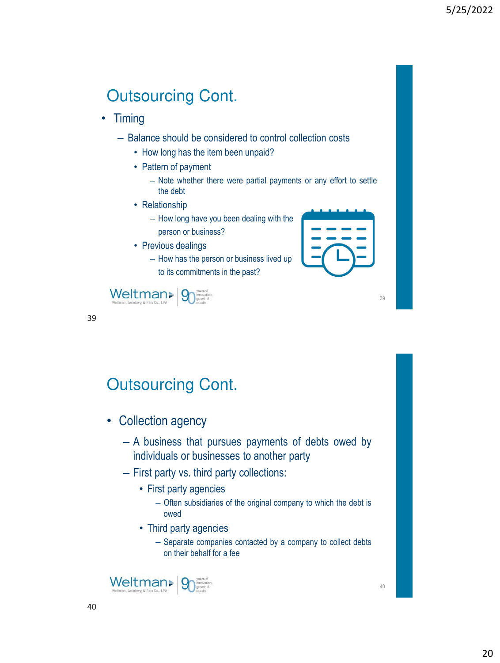- Timing
	- Balance should be considered to control collection costs
		- How long has the item been unpaid?
		- Pattern of payment
			- Note whether there were partial payments or any effort to settle the debt
		- Relationship
			- How long have you been dealing with the person or business?
		- Previous dealings
			- How has the person or business lived up to its commitments in the past?



39



| v             |                   |
|---------------|-------------------|
| . .           | v                 |
|               |                   |
| I             |                   |
| ۰.<br>۰,<br>× | i<br>i<br>×<br>۰. |

### Outsourcing Cont.

- Collection agency
	- A business that pursues payments of debts owed by individuals or businesses to another party
	- First party vs. third party collections:
		- First party agencies
			- Often subsidiaries of the original company to which the debt is owed
		- Third party agencies
			- Separate companies contacted by a company to collect debts on their behalf for a fee

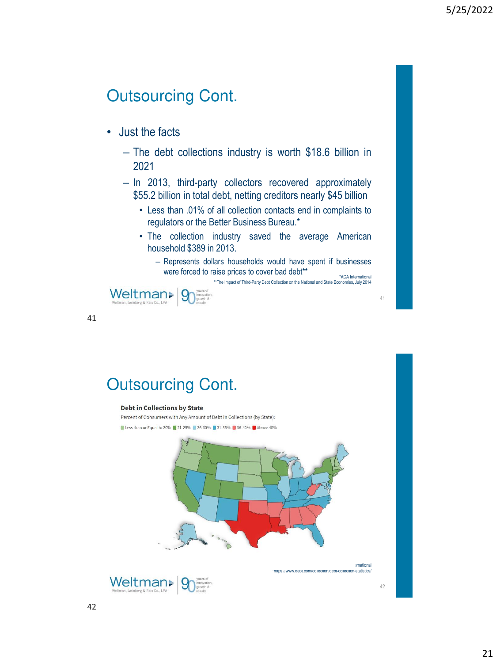- Just the facts
	- The debt collections industry is worth \$18.6 billion in 2021
	- In 2013, third-party collectors recovered approximately \$55.2 billion in total debt, netting creditors nearly \$45 billion
		- Less than .01% of all collection contacts end in complaints to regulators or the Better Business Bureau.\*
		- The collection industry saved the average American household \$389 in 2013.
			- Represents dollars households would have spent if businesses were forced to raise prices to cover bad debt\*\* \*ACA International \*\*The Impact of Third-Party Debt Collection on the National and State Economies, July 2014



41

42

### Outsourcing Cont.

### **Debt in Collections by State**

Percent of Consumers with Any Amount of Debt in Collections (by State): Less than or Equal to 20% 21-25% 26-30% 31-35% 36-40% Above 40%



\*https://www.debt.com/collection/debt-collection-statistics/

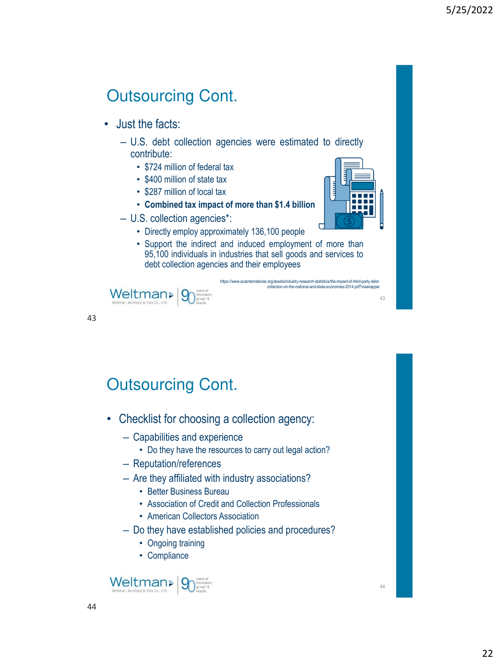- Just the facts:
	- U.S. debt collection agencies were estimated to directly contribute:
		- \$724 million of federal tax
		- \$400 million of state tax
		- \$287 million of local tax
		- **Combined tax impact of more than \$1.4 billion**
	- U.S. collection agencies\*:
		- Directly employ approximately 136,100 people
		- Support the indirect and induced employment of more than 95,100 individuals in industries that sell goods and services to debt collection agencies and their employees

https://www.acainternational.org/assets/industry-research-statistics/the-impact-of-third-party-debt-

collection-on-the-national-and-state-economies-2014.pdf?viawrapper





43

43

### Outsourcing Cont.

- Checklist for choosing a collection agency:
	- Capabilities and experience
		- Do they have the resources to carry out legal action?
	- Reputation/references
	- Are they affiliated with industry associations?
		- Better Business Bureau
		- Association of Credit and Collection Professionals
		- American Collectors Association
	- Do they have established policies and procedures?
		- Ongoing training
		- Compliance